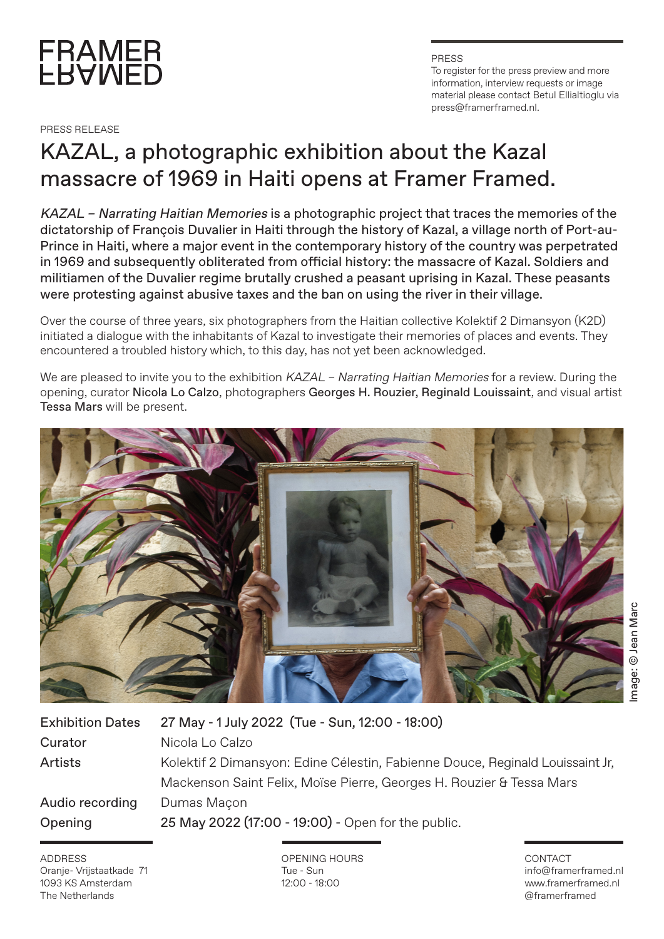

PRESS RELEASE

PRESS To register for the press preview and more information, interview requests or image material please contact Betul Ellialtioglu via press@framerframed.nl.

## KAZAL, a photographic exhibition about the Kazal massacre of 1969 in Haiti opens at Framer Framed.

KAZAL – Narrating Haitian Memories is a photographic project that traces the memories of the dictatorship of François Duvalier in Haiti through the history of Kazal, a village north of Port-au-Prince in Haiti, where a major event in the contemporary history of the country was perpetrated in 1969 and subsequently obliterated from official history: the massacre of Kazal. Soldiers and militiamen of the Duvalier regime brutally crushed a peasant uprising in Kazal. These peasants were protesting against abusive taxes and the ban on using the river in their village.

Over the course of three years, six photographers from the Haitian collective Kolektif 2 Dimansyon (K2D) initiated a dialogue with the inhabitants of Kazal to investigate their memories of places and events. They encountered a troubled history which, to this day, has not yet been acknowledged.

We are pleased to invite you to the exhibition KAZAL - Narrating Haitian Memories for a review. During the opening, curator Nicola Lo Calzo, photographers Georges H. Rouzier, Reginald Louissaint, and visual artist Tessa Mars will be present.



| <b>Exhibition Dates</b> | 27 May - 1 July 2022 (Tue - Sun, 12:00 - 18:00)                               |
|-------------------------|-------------------------------------------------------------------------------|
| Curator                 | Nicola Lo Calzo                                                               |
| Artists                 | Kolektif 2 Dimansyon: Edine Célestin, Fabienne Douce, Reginald Louissaint Jr, |
|                         | Mackenson Saint Felix, Moïse Pierre, Georges H. Rouzier & Tessa Mars          |
| Audio recording         | Dumas Maçon                                                                   |
| Opening                 | 25 May 2022 (17:00 - 19:00) - Open for the public.                            |
|                         |                                                                               |

ADDRESS Oranje- Vrijstaatkade 71 1093 KS Amsterdam The Netherlands

OPENING HOURS Tue - Sun 12:00 - 18:00

## CONTACT info@framerframed.nl www.framerframed.nl @framerframed